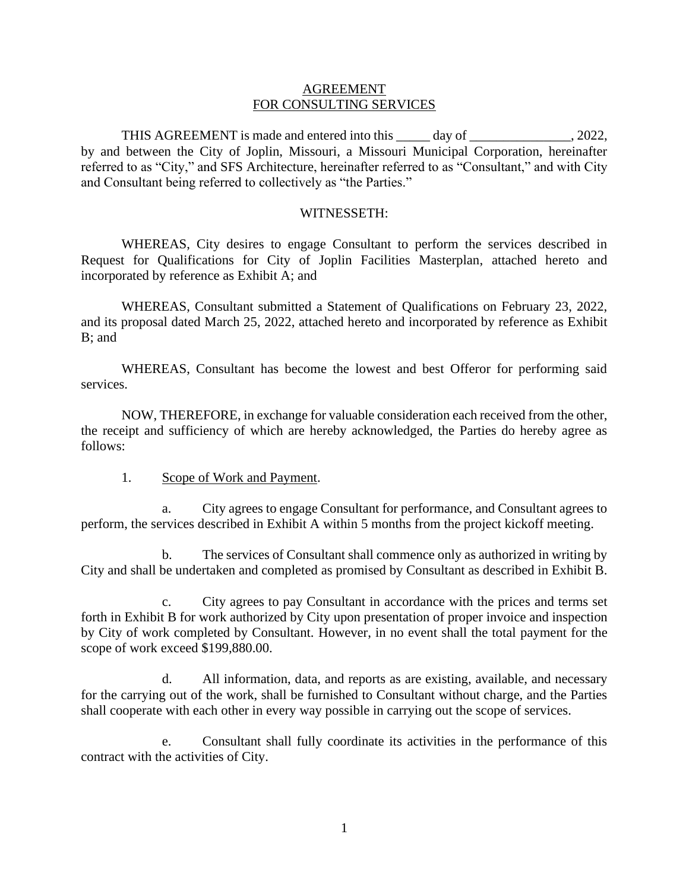#### AGREEMENT FOR CONSULTING SERVICES

THIS AGREEMENT is made and entered into this \_\_\_\_\_ day of \_\_\_\_\_\_\_\_\_\_\_\_\_\_\_, 2022, by and between the City of Joplin, Missouri, a Missouri Municipal Corporation, hereinafter referred to as "City," and SFS Architecture, hereinafter referred to as "Consultant," and with City and Consultant being referred to collectively as "the Parties."

#### WITNESSETH:

WHEREAS, City desires to engage Consultant to perform the services described in Request for Qualifications for City of Joplin Facilities Masterplan, attached hereto and incorporated by reference as Exhibit A; and

WHEREAS, Consultant submitted a Statement of Qualifications on February 23, 2022, and its proposal dated March 25, 2022, attached hereto and incorporated by reference as Exhibit B; and

WHEREAS, Consultant has become the lowest and best Offeror for performing said services.

NOW, THEREFORE, in exchange for valuable consideration each received from the other, the receipt and sufficiency of which are hereby acknowledged, the Parties do hereby agree as follows:

1. Scope of Work and Payment.

a. City agrees to engage Consultant for performance, and Consultant agrees to perform, the services described in Exhibit A within 5 months from the project kickoff meeting.

b. The services of Consultant shall commence only as authorized in writing by City and shall be undertaken and completed as promised by Consultant as described in Exhibit B.

c. City agrees to pay Consultant in accordance with the prices and terms set forth in Exhibit B for work authorized by City upon presentation of proper invoice and inspection by City of work completed by Consultant. However, in no event shall the total payment for the scope of work exceed \$199,880.00.

d. All information, data, and reports as are existing, available, and necessary for the carrying out of the work, shall be furnished to Consultant without charge, and the Parties shall cooperate with each other in every way possible in carrying out the scope of services.

e. Consultant shall fully coordinate its activities in the performance of this contract with the activities of City.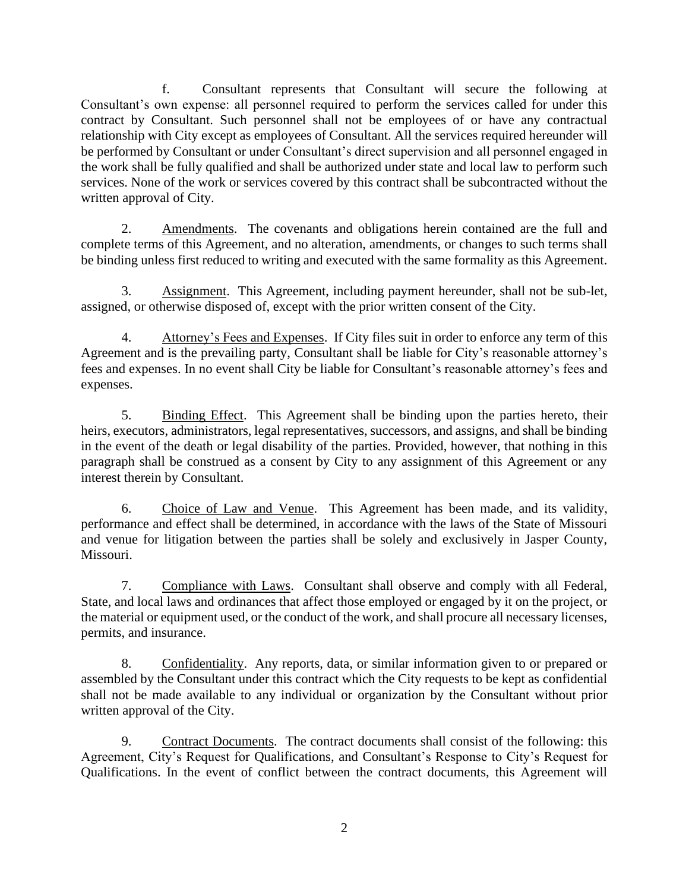f. Consultant represents that Consultant will secure the following at Consultant's own expense: all personnel required to perform the services called for under this contract by Consultant. Such personnel shall not be employees of or have any contractual relationship with City except as employees of Consultant. All the services required hereunder will be performed by Consultant or under Consultant's direct supervision and all personnel engaged in the work shall be fully qualified and shall be authorized under state and local law to perform such services. None of the work or services covered by this contract shall be subcontracted without the written approval of City.

2. Amendments. The covenants and obligations herein contained are the full and complete terms of this Agreement, and no alteration, amendments, or changes to such terms shall be binding unless first reduced to writing and executed with the same formality as this Agreement.

3. Assignment. This Agreement, including payment hereunder, shall not be sub-let, assigned, or otherwise disposed of, except with the prior written consent of the City.

4. Attorney's Fees and Expenses. If City files suit in order to enforce any term of this Agreement and is the prevailing party, Consultant shall be liable for City's reasonable attorney's fees and expenses. In no event shall City be liable for Consultant's reasonable attorney's fees and expenses.

5. Binding Effect. This Agreement shall be binding upon the parties hereto, their heirs, executors, administrators, legal representatives, successors, and assigns, and shall be binding in the event of the death or legal disability of the parties. Provided, however, that nothing in this paragraph shall be construed as a consent by City to any assignment of this Agreement or any interest therein by Consultant.

6. Choice of Law and Venue. This Agreement has been made, and its validity, performance and effect shall be determined, in accordance with the laws of the State of Missouri and venue for litigation between the parties shall be solely and exclusively in Jasper County, Missouri.

7. Compliance with Laws. Consultant shall observe and comply with all Federal, State, and local laws and ordinances that affect those employed or engaged by it on the project, or the material or equipment used, or the conduct of the work, and shall procure all necessary licenses, permits, and insurance.

8. Confidentiality. Any reports, data, or similar information given to or prepared or assembled by the Consultant under this contract which the City requests to be kept as confidential shall not be made available to any individual or organization by the Consultant without prior written approval of the City.

9. Contract Documents. The contract documents shall consist of the following: this Agreement, City's Request for Qualifications, and Consultant's Response to City's Request for Qualifications. In the event of conflict between the contract documents, this Agreement will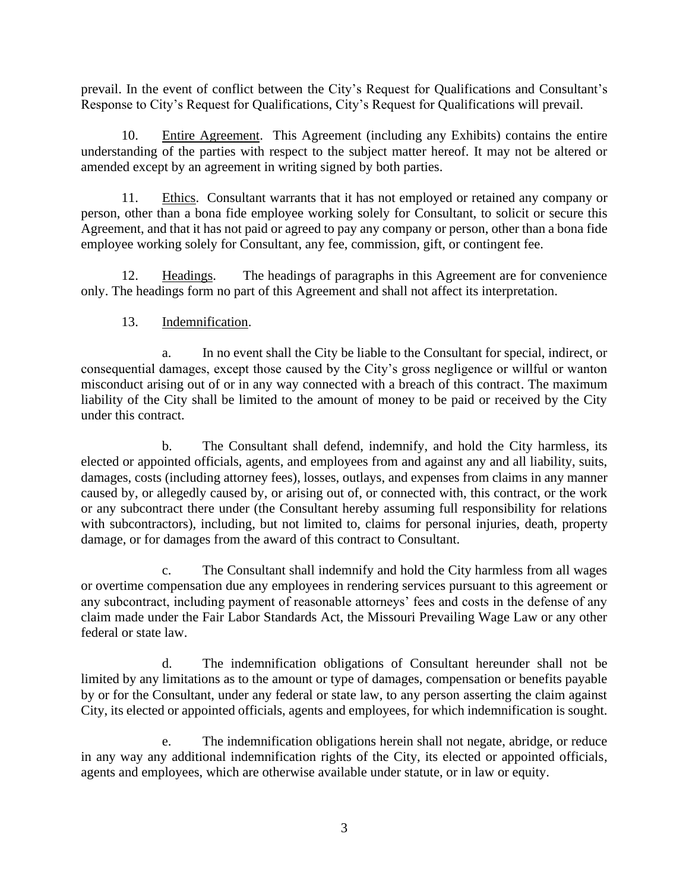prevail. In the event of conflict between the City's Request for Qualifications and Consultant's Response to City's Request for Qualifications, City's Request for Qualifications will prevail.

10. Entire Agreement. This Agreement (including any Exhibits) contains the entire understanding of the parties with respect to the subject matter hereof. It may not be altered or amended except by an agreement in writing signed by both parties.

11. Ethics. Consultant warrants that it has not employed or retained any company or person, other than a bona fide employee working solely for Consultant, to solicit or secure this Agreement, and that it has not paid or agreed to pay any company or person, other than a bona fide employee working solely for Consultant, any fee, commission, gift, or contingent fee.

12. Headings. The headings of paragraphs in this Agreement are for convenience only. The headings form no part of this Agreement and shall not affect its interpretation.

### 13. Indemnification.

a. In no event shall the City be liable to the Consultant for special, indirect, or consequential damages, except those caused by the City's gross negligence or willful or wanton misconduct arising out of or in any way connected with a breach of this contract. The maximum liability of the City shall be limited to the amount of money to be paid or received by the City under this contract.

b. The Consultant shall defend, indemnify, and hold the City harmless, its elected or appointed officials, agents, and employees from and against any and all liability, suits, damages, costs (including attorney fees), losses, outlays, and expenses from claims in any manner caused by, or allegedly caused by, or arising out of, or connected with, this contract, or the work or any subcontract there under (the Consultant hereby assuming full responsibility for relations with subcontractors), including, but not limited to, claims for personal injuries, death, property damage, or for damages from the award of this contract to Consultant.

c. The Consultant shall indemnify and hold the City harmless from all wages or overtime compensation due any employees in rendering services pursuant to this agreement or any subcontract, including payment of reasonable attorneys' fees and costs in the defense of any claim made under the Fair Labor Standards Act, the Missouri Prevailing Wage Law or any other federal or state law.

d. The indemnification obligations of Consultant hereunder shall not be limited by any limitations as to the amount or type of damages, compensation or benefits payable by or for the Consultant, under any federal or state law, to any person asserting the claim against City, its elected or appointed officials, agents and employees, for which indemnification is sought.

e. The indemnification obligations herein shall not negate, abridge, or reduce in any way any additional indemnification rights of the City, its elected or appointed officials, agents and employees, which are otherwise available under statute, or in law or equity.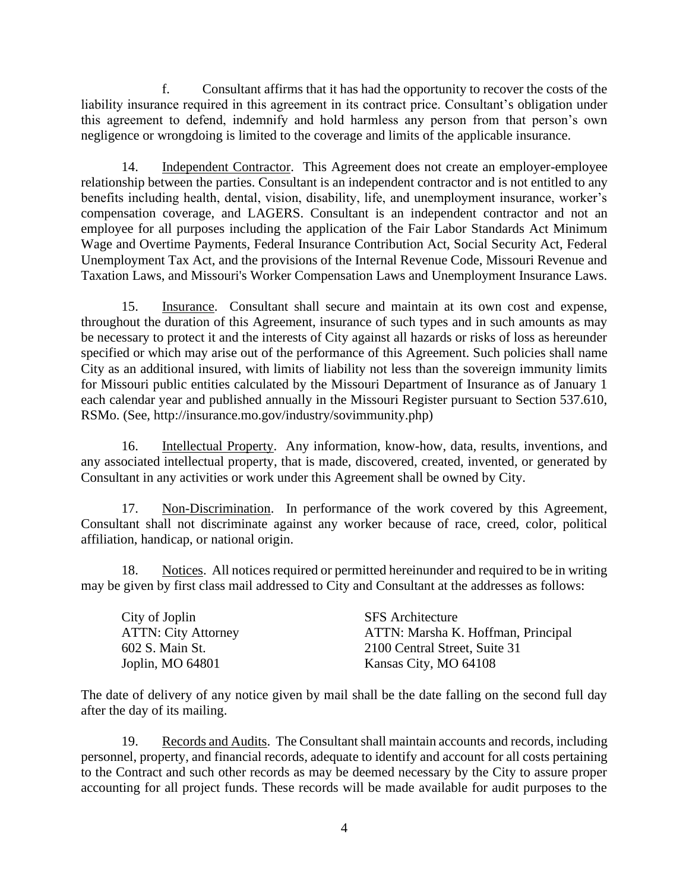f. Consultant affirms that it has had the opportunity to recover the costs of the liability insurance required in this agreement in its contract price. Consultant's obligation under this agreement to defend, indemnify and hold harmless any person from that person's own negligence or wrongdoing is limited to the coverage and limits of the applicable insurance.

14. Independent Contractor. This Agreement does not create an employer-employee relationship between the parties. Consultant is an independent contractor and is not entitled to any benefits including health, dental, vision, disability, life, and unemployment insurance, worker's compensation coverage, and LAGERS. Consultant is an independent contractor and not an employee for all purposes including the application of the Fair Labor Standards Act Minimum Wage and Overtime Payments, Federal Insurance Contribution Act, Social Security Act, Federal Unemployment Tax Act, and the provisions of the Internal Revenue Code, Missouri Revenue and Taxation Laws, and Missouri's Worker Compensation Laws and Unemployment Insurance Laws.

15. Insurance. Consultant shall secure and maintain at its own cost and expense, throughout the duration of this Agreement, insurance of such types and in such amounts as may be necessary to protect it and the interests of City against all hazards or risks of loss as hereunder specified or which may arise out of the performance of this Agreement. Such policies shall name City as an additional insured, with limits of liability not less than the sovereign immunity limits for Missouri public entities calculated by the Missouri Department of Insurance as of January 1 each calendar year and published annually in the Missouri Register pursuant to Section 537.610, RSMo. (See, http://insurance.mo.gov/industry/sovimmunity.php)

16. Intellectual Property. Any information, know-how, data, results, inventions, and any associated intellectual property, that is made, discovered, created, invented, or generated by Consultant in any activities or work under this Agreement shall be owned by City.

17. Non-Discrimination. In performance of the work covered by this Agreement, Consultant shall not discriminate against any worker because of race, creed, color, political affiliation, handicap, or national origin.

18. Notices. All notices required or permitted hereinunder and required to be in writing may be given by first class mail addressed to City and Consultant at the addresses as follows:

| City of Joplin             | <b>SFS</b> Architecture            |
|----------------------------|------------------------------------|
| <b>ATTN: City Attorney</b> | ATTN: Marsha K. Hoffman, Principal |
| 602 S. Main St.            | 2100 Central Street, Suite 31      |
| Joplin, MO 64801           | Kansas City, MO 64108              |

The date of delivery of any notice given by mail shall be the date falling on the second full day after the day of its mailing.

19. Records and Audits. The Consultant shall maintain accounts and records, including personnel, property, and financial records, adequate to identify and account for all costs pertaining to the Contract and such other records as may be deemed necessary by the City to assure proper accounting for all project funds. These records will be made available for audit purposes to the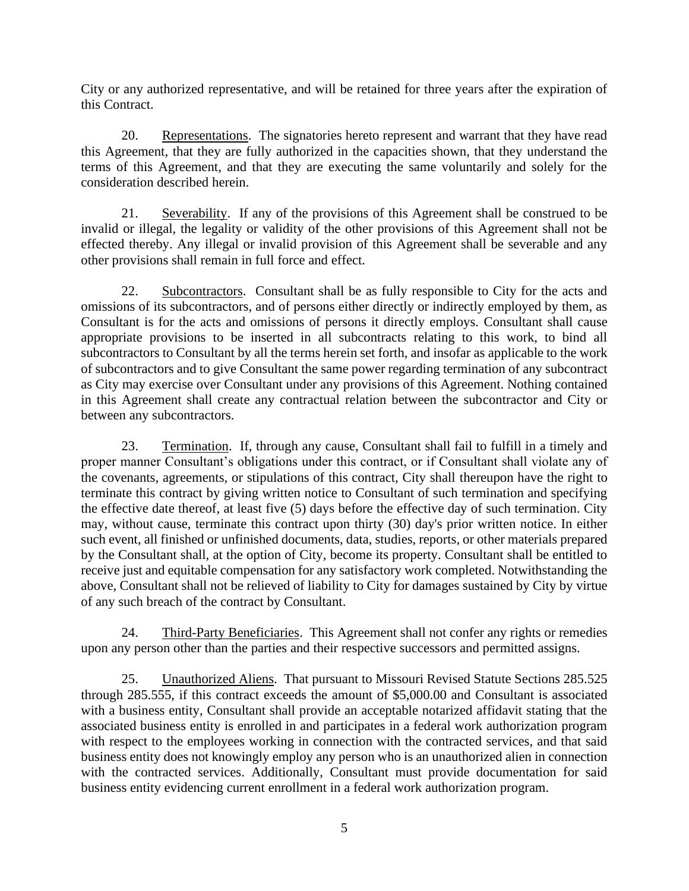City or any authorized representative, and will be retained for three years after the expiration of this Contract.

20. Representations. The signatories hereto represent and warrant that they have read this Agreement, that they are fully authorized in the capacities shown, that they understand the terms of this Agreement, and that they are executing the same voluntarily and solely for the consideration described herein.

21. Severability. If any of the provisions of this Agreement shall be construed to be invalid or illegal, the legality or validity of the other provisions of this Agreement shall not be effected thereby. Any illegal or invalid provision of this Agreement shall be severable and any other provisions shall remain in full force and effect.

22. Subcontractors. Consultant shall be as fully responsible to City for the acts and omissions of its subcontractors, and of persons either directly or indirectly employed by them, as Consultant is for the acts and omissions of persons it directly employs. Consultant shall cause appropriate provisions to be inserted in all subcontracts relating to this work, to bind all subcontractors to Consultant by all the terms herein set forth, and insofar as applicable to the work of subcontractors and to give Consultant the same power regarding termination of any subcontract as City may exercise over Consultant under any provisions of this Agreement. Nothing contained in this Agreement shall create any contractual relation between the subcontractor and City or between any subcontractors.

23. Termination. If, through any cause, Consultant shall fail to fulfill in a timely and proper manner Consultant's obligations under this contract, or if Consultant shall violate any of the covenants, agreements, or stipulations of this contract, City shall thereupon have the right to terminate this contract by giving written notice to Consultant of such termination and specifying the effective date thereof, at least five (5) days before the effective day of such termination. City may, without cause, terminate this contract upon thirty (30) day's prior written notice. In either such event, all finished or unfinished documents, data, studies, reports, or other materials prepared by the Consultant shall, at the option of City, become its property. Consultant shall be entitled to receive just and equitable compensation for any satisfactory work completed. Notwithstanding the above, Consultant shall not be relieved of liability to City for damages sustained by City by virtue of any such breach of the contract by Consultant.

24. Third-Party Beneficiaries. This Agreement shall not confer any rights or remedies upon any person other than the parties and their respective successors and permitted assigns.

25. Unauthorized Aliens. That pursuant to Missouri Revised Statute Sections 285.525 through 285.555, if this contract exceeds the amount of \$5,000.00 and Consultant is associated with a business entity, Consultant shall provide an acceptable notarized affidavit stating that the associated business entity is enrolled in and participates in a federal work authorization program with respect to the employees working in connection with the contracted services, and that said business entity does not knowingly employ any person who is an unauthorized alien in connection with the contracted services. Additionally, Consultant must provide documentation for said business entity evidencing current enrollment in a federal work authorization program.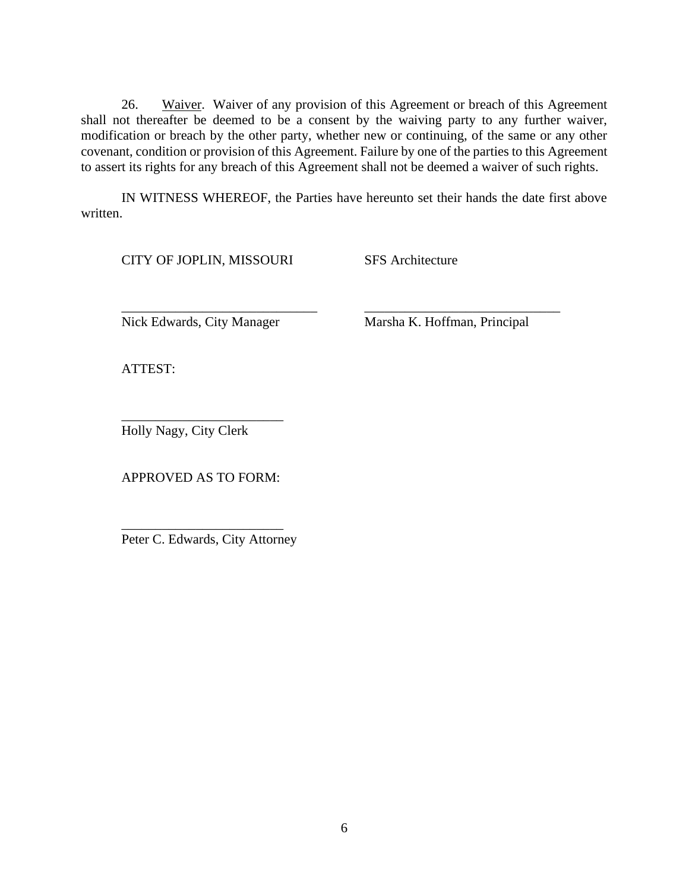26. Waiver. Waiver of any provision of this Agreement or breach of this Agreement shall not thereafter be deemed to be a consent by the waiving party to any further waiver, modification or breach by the other party, whether new or continuing, of the same or any other covenant, condition or provision of this Agreement. Failure by one of the parties to this Agreement to assert its rights for any breach of this Agreement shall not be deemed a waiver of such rights.

IN WITNESS WHEREOF, the Parties have hereunto set their hands the date first above written.

\_\_\_\_\_\_\_\_\_\_\_\_\_\_\_\_\_\_\_\_\_\_\_\_\_\_\_\_\_ \_\_\_\_\_\_\_\_\_\_\_\_\_\_\_\_\_\_\_\_\_\_\_\_\_\_\_\_\_

CITY OF JOPLIN, MISSOURI SFS Architecture

Nick Edwards, City Manager Marsha K. Hoffman, Principal

ATTEST:

Holly Nagy, City Clerk

APPROVED AS TO FORM:

\_\_\_\_\_\_\_\_\_\_\_\_\_\_\_\_\_\_\_\_\_\_\_\_

\_\_\_\_\_\_\_\_\_\_\_\_\_\_\_\_\_\_\_\_\_\_\_\_ Peter C. Edwards, City Attorney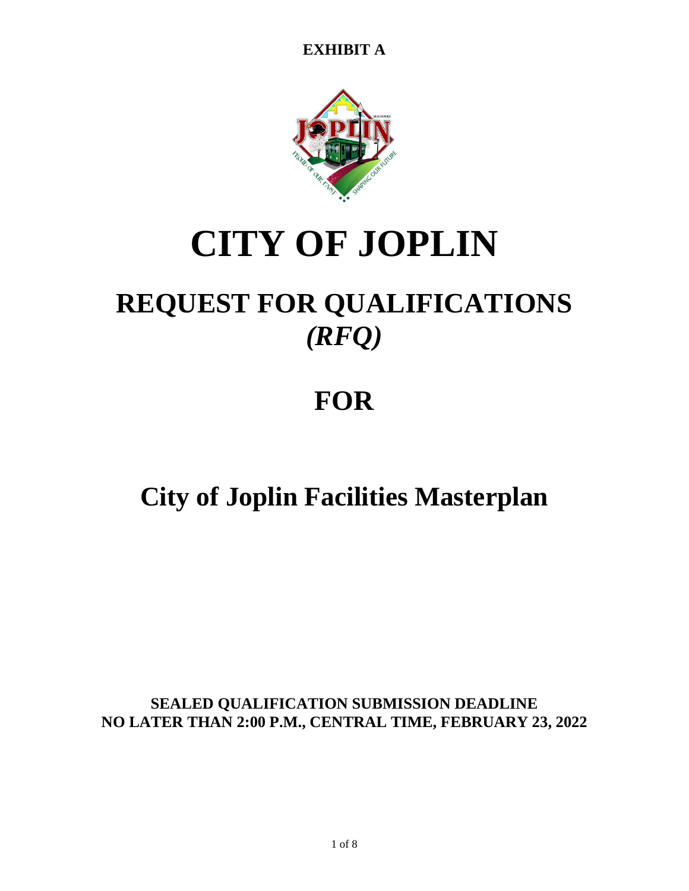

# **CITY OF JOPLIN**

## **REQUEST FOR QUALIFICATIONS** *(RFQ)*

## **FOR**

## **City of Joplin Facilities Masterplan**

**SEALED QUALIFICATION SUBMISSION DEADLINE NO LATER THAN 2:00 P.M., CENTRAL TIME, FEBRUARY 23, 2022**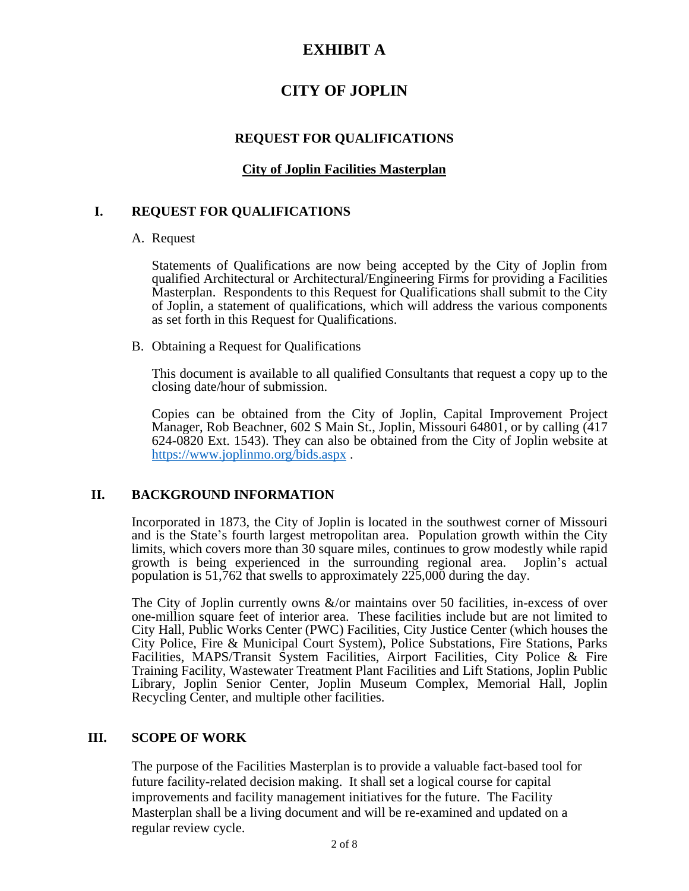## **CITY OF JOPLIN**

#### **REQUEST FOR QUALIFICATIONS**

#### **City of Joplin Facilities Masterplan**

#### **I. REQUEST FOR QUALIFICATIONS**

#### A. Request

Statements of Qualifications are now being accepted by the City of Joplin from qualified Architectural or Architectural/Engineering Firms for providing a Facilities Masterplan. Respondents to this Request for Qualifications shall submit to the City of Joplin, a statement of qualifications, which will address the various components as set forth in this Request for Qualifications.

B. Obtaining a Request for Qualifications

This document is available to all qualified Consultants that request a copy up to the closing date/hour of submission.

Copies can be obtained from the City of Joplin, Capital Improvement Project Manager, Rob Beachner, 602 S Main St., Joplin, Missouri 64801, or by calling (417 624-0820 Ext. 1543). They can also be obtained from the City of Joplin website at <https://www.joplinmo.org/bids.aspx> .

### **II. BACKGROUND INFORMATION**

Incorporated in 1873, the City of Joplin is located in the southwest corner of Missouri and is the State's fourth largest metropolitan area. Population growth within the City limits, which covers more than 30 square miles, continues to grow modestly while rapid growth is being experienced in the surrounding regional area. Joplin's actual population is 51,762 that swells to approximately 225,000 during the day.

The City of Joplin currently owns &/or maintains over 50 facilities, in-excess of over one-million square feet of interior area. These facilities include but are not limited to City Hall, Public Works Center (PWC) Facilities, City Justice Center (which houses the City Police, Fire & Municipal Court System), Police Substations, Fire Stations, Parks Facilities, MAPS/Transit System Facilities, Airport Facilities, City Police & Fire Training Facility, Wastewater Treatment Plant Facilities and Lift Stations, Joplin Public Library, Joplin Senior Center, Joplin Museum Complex, Memorial Hall, Joplin Recycling Center, and multiple other facilities.

#### **III. SCOPE OF WORK**

The purpose of the Facilities Masterplan is to provide a valuable fact-based tool for future facility-related decision making. It shall set a logical course for capital improvements and facility management initiatives for the future. The Facility Masterplan shall be a living document and will be re-examined and updated on a regular review cycle.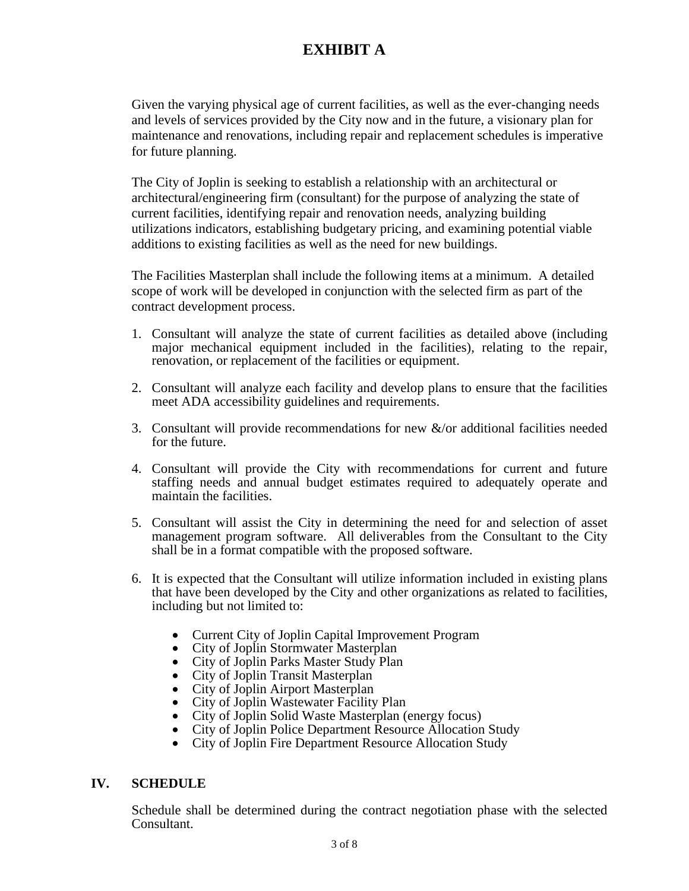Given the varying physical age of current facilities, as well as the ever-changing needs and levels of services provided by the City now and in the future, a visionary plan for maintenance and renovations, including repair and replacement schedules is imperative for future planning.

The City of Joplin is seeking to establish a relationship with an architectural or architectural/engineering firm (consultant) for the purpose of analyzing the state of current facilities, identifying repair and renovation needs, analyzing building utilizations indicators, establishing budgetary pricing, and examining potential viable additions to existing facilities as well as the need for new buildings.

The Facilities Masterplan shall include the following items at a minimum. A detailed scope of work will be developed in conjunction with the selected firm as part of the contract development process.

- 1. Consultant will analyze the state of current facilities as detailed above (including major mechanical equipment included in the facilities), relating to the repair, renovation, or replacement of the facilities or equipment.
- 2. Consultant will analyze each facility and develop plans to ensure that the facilities meet ADA accessibility guidelines and requirements.
- 3. Consultant will provide recommendations for new &/or additional facilities needed for the future.
- 4. Consultant will provide the City with recommendations for current and future staffing needs and annual budget estimates required to adequately operate and maintain the facilities.
- 5. Consultant will assist the City in determining the need for and selection of asset management program software. All deliverables from the Consultant to the City shall be in a format compatible with the proposed software.
- 6. It is expected that the Consultant will utilize information included in existing plans that have been developed by the City and other organizations as related to facilities, including but not limited to:
	- Current City of Joplin Capital Improvement Program
	- City of Joplin Stormwater Masterplan
	- City of Joplin Parks Master Study Plan
	- City of Joplin Transit Masterplan
	- City of Joplin Airport Masterplan
	- City of Joplin Wastewater Facility Plan
	- City of Joplin Solid Waste Masterplan (energy focus)
	- City of Joplin Police Department Resource Allocation Study
	- City of Joplin Fire Department Resource Allocation Study

#### **IV. SCHEDULE**

Schedule shall be determined during the contract negotiation phase with the selected Consultant.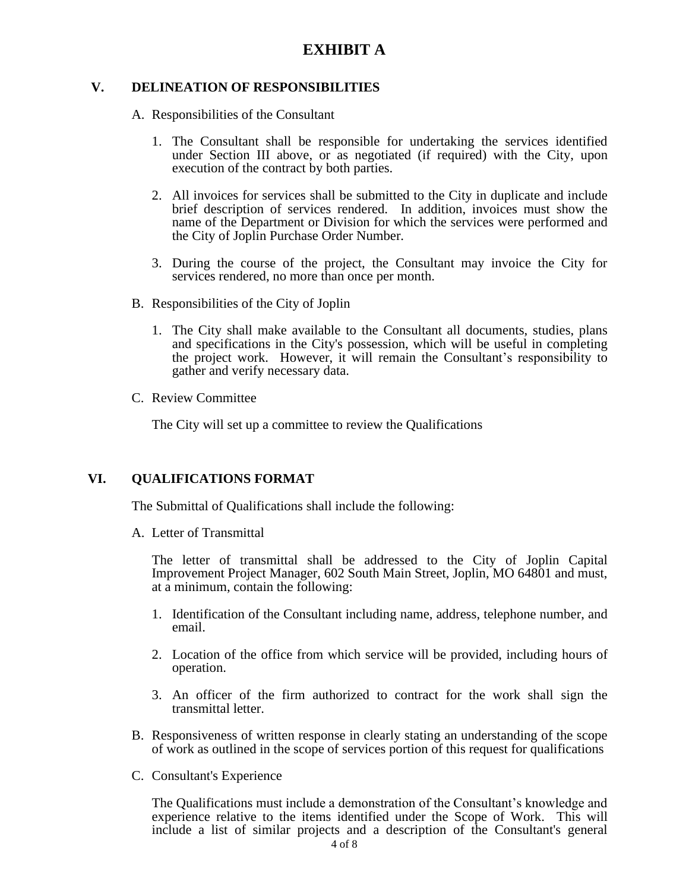#### **V. DELINEATION OF RESPONSIBILITIES**

A. Responsibilities of the Consultant

- 1. The Consultant shall be responsible for undertaking the services identified under Section III above, or as negotiated (if required) with the City, upon execution of the contract by both parties.
- 2. All invoices for services shall be submitted to the City in duplicate and include brief description of services rendered. In addition, invoices must show the name of the Department or Division for which the services were performed and the City of Joplin Purchase Order Number.
- 3. During the course of the project, the Consultant may invoice the City for services rendered, no more than once per month.
- B. Responsibilities of the City of Joplin
	- 1. The City shall make available to the Consultant all documents, studies, plans and specifications in the City's possession, which will be useful in completing the project work. However, it will remain the Consultant's responsibility to gather and verify necessary data.
- C. Review Committee

The City will set up a committee to review the Qualifications

#### **VI. QUALIFICATIONS FORMAT**

The Submittal of Qualifications shall include the following:

A. Letter of Transmittal

The letter of transmittal shall be addressed to the City of Joplin Capital Improvement Project Manager, 602 South Main Street, Joplin, MO 64801 and must, at a minimum, contain the following:

- 1. Identification of the Consultant including name, address, telephone number, and email.
- 2. Location of the office from which service will be provided, including hours of operation.
- 3. An officer of the firm authorized to contract for the work shall sign the transmittal letter.
- B. Responsiveness of written response in clearly stating an understanding of the scope of work as outlined in the scope of services portion of this request for qualifications
- C. Consultant's Experience

The Qualifications must include a demonstration of the Consultant's knowledge and experience relative to the items identified under the Scope of Work. This will include a list of similar projects and a description of the Consultant's general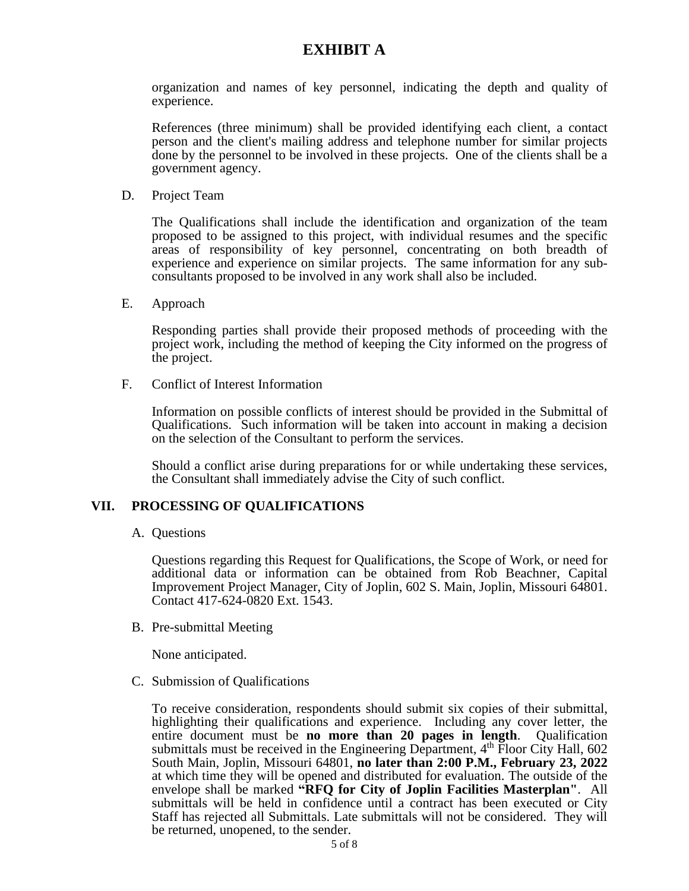organization and names of key personnel, indicating the depth and quality of experience.

References (three minimum) shall be provided identifying each client, a contact person and the client's mailing address and telephone number for similar projects done by the personnel to be involved in these projects. One of the clients shall be a government agency.

D. Project Team

The Qualifications shall include the identification and organization of the team proposed to be assigned to this project, with individual resumes and the specific areas of responsibility of key personnel, concentrating on both breadth of experience and experience on similar projects. The same information for any subconsultants proposed to be involved in any work shall also be included.

E. Approach

Responding parties shall provide their proposed methods of proceeding with the project work, including the method of keeping the City informed on the progress of the project.

F. Conflict of Interest Information

Information on possible conflicts of interest should be provided in the Submittal of Qualifications. Such information will be taken into account in making a decision on the selection of the Consultant to perform the services.

Should a conflict arise during preparations for or while undertaking these services, the Consultant shall immediately advise the City of such conflict.

#### **VII. PROCESSING OF QUALIFICATIONS**

A. Questions

Questions regarding this Request for Qualifications, the Scope of Work, or need for additional data or information can be obtained from Rob Beachner, Capital Improvement Project Manager, City of Joplin, 602 S. Main, Joplin, Missouri 64801. Contact 417-624-0820 Ext. 1543.

B. Pre-submittal Meeting

None anticipated.

C. Submission of Qualifications

To receive consideration, respondents should submit six copies of their submittal, highlighting their qualifications and experience. Including any cover letter, the entire document must be **no more than 20 pages in length**. Qualification submittals must be received in the Engineering Department,  $4<sup>th</sup>$  Floor City Hall, 602 South Main, Joplin, Missouri 64801, **no later than 2:00 P.M., February 23, 2022** at which time they will be opened and distributed for evaluation. The outside of the envelope shall be marked **"RFQ for City of Joplin Facilities Masterplan"**. All submittals will be held in confidence until a contract has been executed or City Staff has rejected all Submittals. Late submittals will not be considered. They will be returned, unopened, to the sender.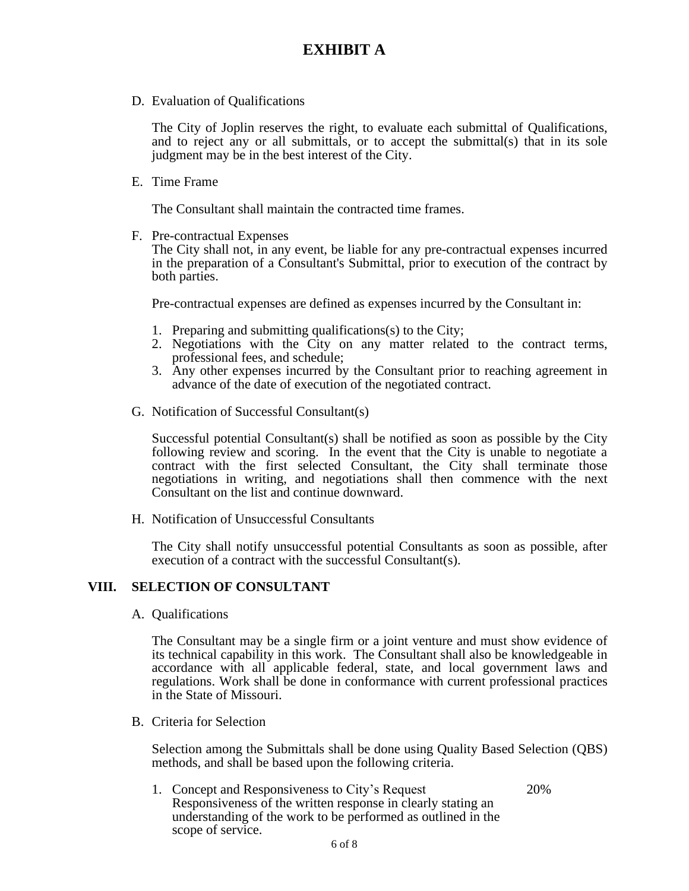D. Evaluation of Qualifications

The City of Joplin reserves the right, to evaluate each submittal of Qualifications, and to reject any or all submittals, or to accept the submittal(s) that in its sole judgment may be in the best interest of the City.

E. Time Frame

The Consultant shall maintain the contracted time frames.

F. Pre-contractual Expenses

The City shall not, in any event, be liable for any pre-contractual expenses incurred in the preparation of a Consultant's Submittal, prior to execution of the contract by both parties.

Pre-contractual expenses are defined as expenses incurred by the Consultant in:

- 1. Preparing and submitting qualifications(s) to the City;
- 2. Negotiations with the City on any matter related to the contract terms, professional fees, and schedule;
- 3. Any other expenses incurred by the Consultant prior to reaching agreement in advance of the date of execution of the negotiated contract.
- G. Notification of Successful Consultant(s)

Successful potential Consultant(s) shall be notified as soon as possible by the City following review and scoring. In the event that the City is unable to negotiate a contract with the first selected Consultant, the City shall terminate those negotiations in writing, and negotiations shall then commence with the next Consultant on the list and continue downward.

H. Notification of Unsuccessful Consultants

The City shall notify unsuccessful potential Consultants as soon as possible, after execution of a contract with the successful Consultant(s).

#### **VIII. SELECTION OF CONSULTANT**

A. Qualifications

The Consultant may be a single firm or a joint venture and must show evidence of its technical capability in this work. The Consultant shall also be knowledgeable in accordance with all applicable federal, state, and local government laws and regulations. Work shall be done in conformance with current professional practices in the State of Missouri.

B. Criteria for Selection

Selection among the Submittals shall be done using Quality Based Selection (QBS) methods, and shall be based upon the following criteria.

1. Concept and Responsiveness to City's Request 20% Responsiveness of the written response in clearly stating an understanding of the work to be performed as outlined in the scope of service.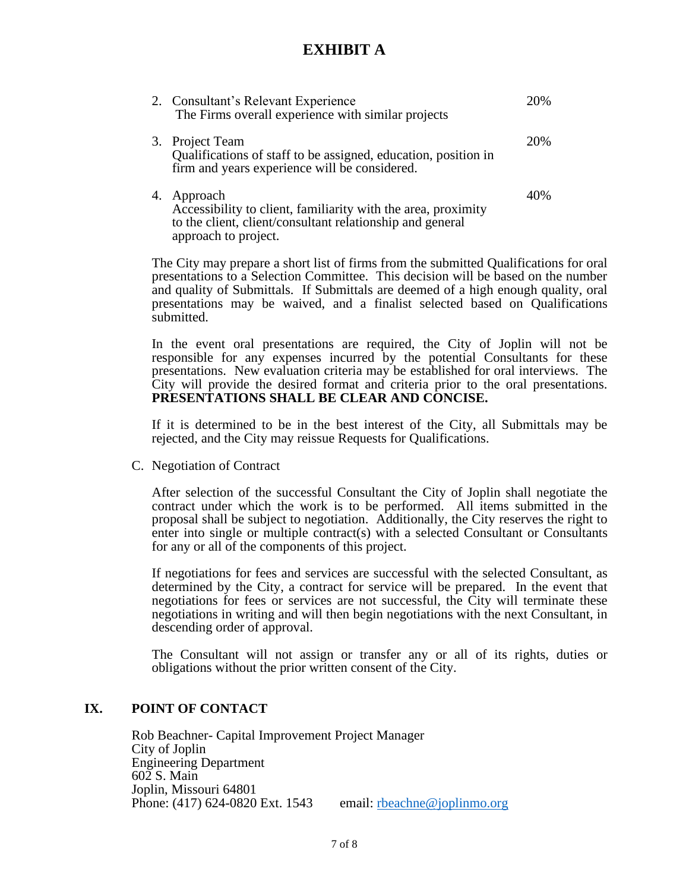|    | 2. Consultant's Relevant Experience<br>The Firms overall experience with similar projects                                                                      | 20% |
|----|----------------------------------------------------------------------------------------------------------------------------------------------------------------|-----|
|    | 3. Project Team<br>Qualifications of staff to be assigned, education, position in<br>firm and years experience will be considered.                             | 20% |
| 4. | Approach<br>Accessibility to client, familiarity with the area, proximity<br>to the client, client/consultant relationship and general<br>approach to project. | 40% |

The City may prepare a short list of firms from the submitted Qualifications for oral presentations to a Selection Committee. This decision will be based on the number and quality of Submittals. If Submittals are deemed of a high enough quality, oral presentations may be waived, and a finalist selected based on Qualifications submitted.

In the event oral presentations are required, the City of Joplin will not be responsible for any expenses incurred by the potential Consultants for these presentations. New evaluation criteria may be established for oral interviews. The City will provide the desired format and criteria prior to the oral presentations. **PRESENTATIONS SHALL BE CLEAR AND CONCISE.**

If it is determined to be in the best interest of the City, all Submittals may be rejected, and the City may reissue Requests for Qualifications.

C. Negotiation of Contract

After selection of the successful Consultant the City of Joplin shall negotiate the contract under which the work is to be performed. All items submitted in the proposal shall be subject to negotiation. Additionally, the City reserves the right to enter into single or multiple contract(s) with a selected Consultant or Consultants for any or all of the components of this project.

If negotiations for fees and services are successful with the selected Consultant, as determined by the City, a contract for service will be prepared. In the event that negotiations for fees or services are not successful, the City will terminate these negotiations in writing and will then begin negotiations with the next Consultant, in descending order of approval.

The Consultant will not assign or transfer any or all of its rights, duties or obligations without the prior written consent of the City.

#### **IX. POINT OF CONTACT**

Rob Beachner- Capital Improvement Project Manager City of Joplin Engineering Department 602 S. Main Joplin, Missouri 64801 Phone: (417) 624-0820 Ext. 1543 email: [rbeachne@joplinmo.org](mailto:rbeachne@joplinmo.org)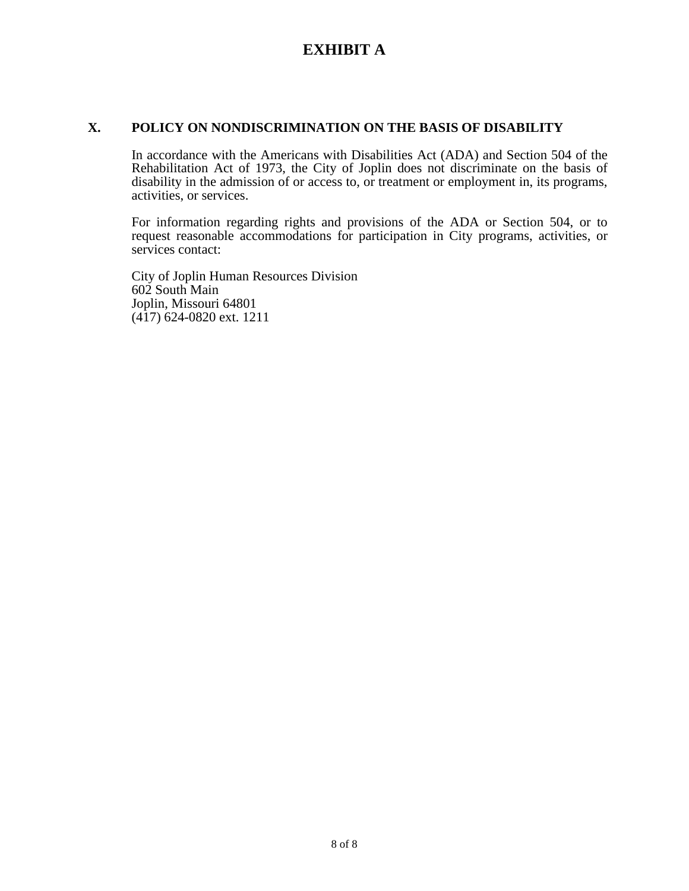#### **X. POLICY ON NONDISCRIMINATION ON THE BASIS OF DISABILITY**

In accordance with the Americans with Disabilities Act (ADA) and Section 504 of the Rehabilitation Act of 1973, the City of Joplin does not discriminate on the basis of disability in the admission of or access to, or treatment or employment in, its programs, activities, or services.

For information regarding rights and provisions of the ADA or Section 504, or to request reasonable accommodations for participation in City programs, activities, or services contact:

City of Joplin Human Resources Division 602 South Main Joplin, Missouri 64801 (417) 624-0820 ext. 1211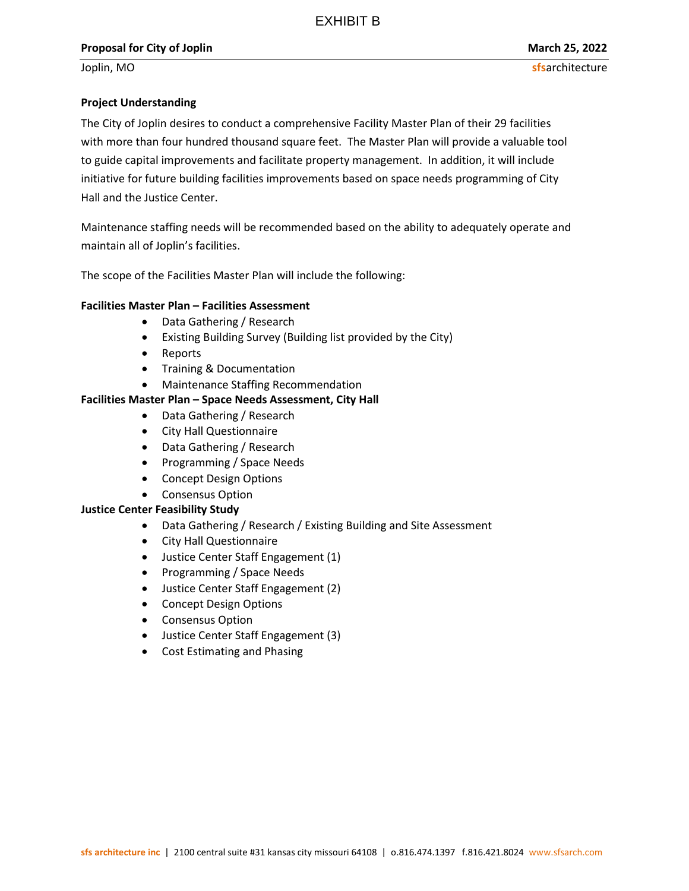#### Project Understanding

The City of Joplin desires to conduct a comprehensive Facility Master Plan of their 29 facilities with more than four hundred thousand square feet. The Master Plan will provide a valuable tool to guide capital improvements and facilitate property management. In addition, it will include initiative for future building facilities improvements based on space needs programming of City Hall and the Justice Center.

Maintenance staffing needs will be recommended based on the ability to adequately operate and maintain all of Joplin's facilities.

The scope of the Facilities Master Plan will include the following:

#### Facilities Master Plan – Facilities Assessment

- Data Gathering / Research
- Existing Building Survey (Building list provided by the City)
- Reports
- Training & Documentation
- Maintenance Staffing Recommendation

#### Facilities Master Plan – Space Needs Assessment, City Hall

- Data Gathering / Research
- City Hall Questionnaire
- Data Gathering / Research
- Programming / Space Needs
- Concept Design Options
- Consensus Option

#### Justice Center Feasibility Study

- Data Gathering / Research / Existing Building and Site Assessment
- City Hall Questionnaire
- Justice Center Staff Engagement (1)
- Programming / Space Needs
- Justice Center Staff Engagement (2)
- Concept Design Options
- Consensus Option
- Justice Center Staff Engagement (3)
- Cost Estimating and Phasing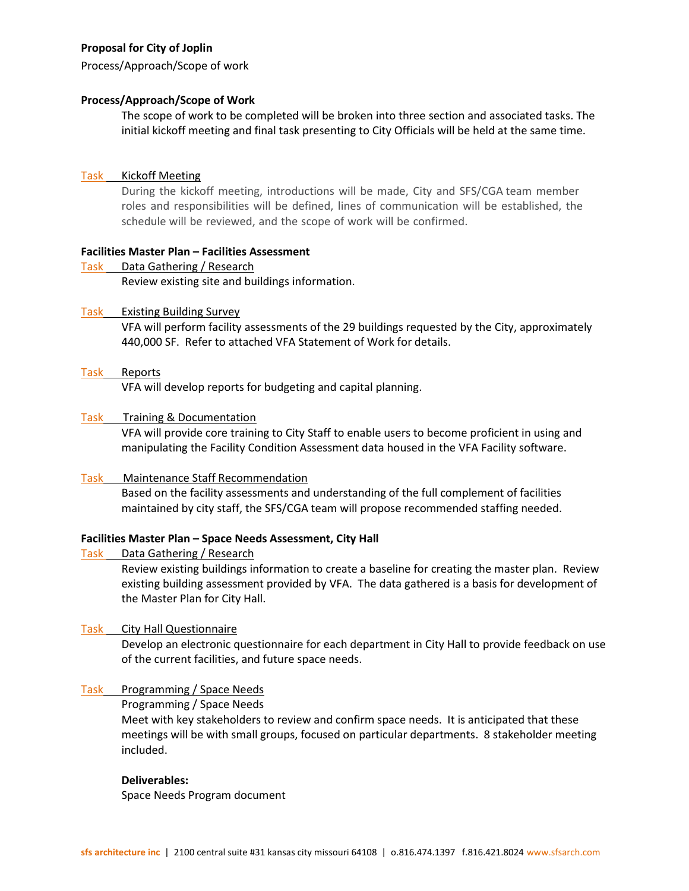Process/Approach/Scope of work

#### Process/Approach/Scope of Work

The scope of work to be completed will be broken into three section and associated tasks. The initial kickoff meeting and final task presenting to City Officials will be held at the same time.

#### Task Kickoff Meeting

During the kickoff meeting, introductions will be made, City and SFS/CGA team member roles and responsibilities will be defined, lines of communication will be established, the schedule will be reviewed, and the scope of work will be confirmed.

#### Facilities Master Plan – Facilities Assessment

Task Data Gathering / Research Review existing site and buildings information.

#### Task Existing Building Survey

VFA will perform facility assessments of the 29 buildings requested by the City, approximately 440,000 SF. Refer to attached VFA Statement of Work for details.

#### Task Reports

VFA will develop reports for budgeting and capital planning.

#### Task Training & Documentation

VFA will provide core training to City Staff to enable users to become proficient in using and manipulating the Facility Condition Assessment data housed in the VFA Facility software.

#### Task Maintenance Staff Recommendation

Based on the facility assessments and understanding of the full complement of facilities maintained by city staff, the SFS/CGA team will propose recommended staffing needed.

#### Facilities Master Plan – Space Needs Assessment, City Hall

#### Task Data Gathering / Research

Review existing buildings information to create a baseline for creating the master plan. Review existing building assessment provided by VFA. The data gathered is a basis for development of the Master Plan for City Hall.

#### Task City Hall Questionnaire

Develop an electronic questionnaire for each department in City Hall to provide feedback on use of the current facilities, and future space needs.

#### Task Programming / Space Needs

Programming / Space Needs

Meet with key stakeholders to review and confirm space needs. It is anticipated that these meetings will be with small groups, focused on particular departments. 8 stakeholder meeting included.

#### Deliverables:

Space Needs Program document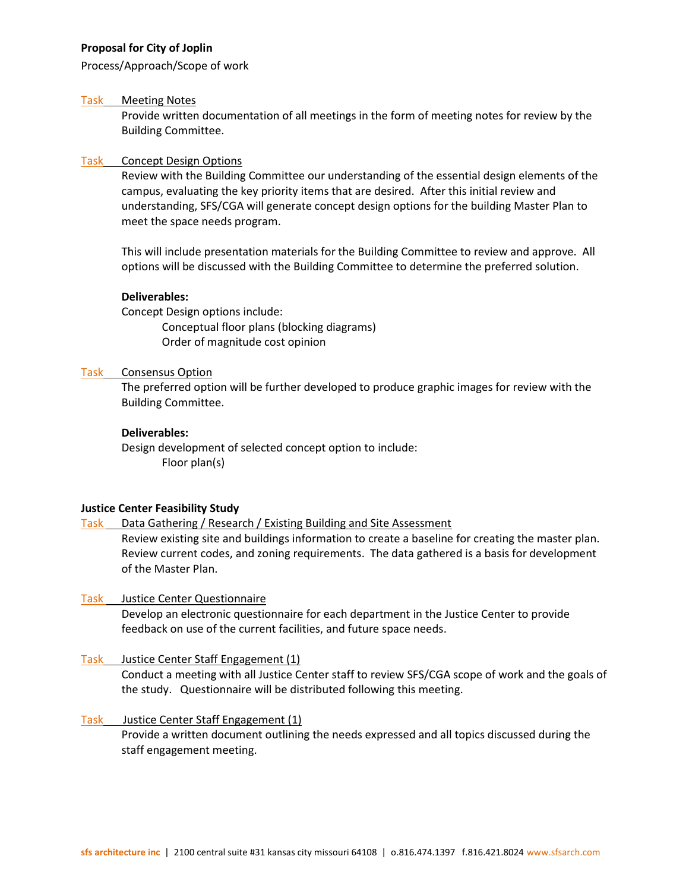Process/Approach/Scope of work

#### Task Meeting Notes

Provide written documentation of all meetings in the form of meeting notes for review by the Building Committee.

#### Task Concept Design Options

Review with the Building Committee our understanding of the essential design elements of the campus, evaluating the key priority items that are desired. After this initial review and understanding, SFS/CGA will generate concept design options for the building Master Plan to meet the space needs program.

This will include presentation materials for the Building Committee to review and approve. All options will be discussed with the Building Committee to determine the preferred solution.

#### Deliverables:

Concept Design options include: Conceptual floor plans (blocking diagrams) Order of magnitude cost opinion

#### Task Consensus Option

The preferred option will be further developed to produce graphic images for review with the Building Committee.

#### Deliverables:

Design development of selected concept option to include: Floor plan(s)

#### Justice Center Feasibility Study

Task Data Gathering / Research / Existing Building and Site Assessment

Review existing site and buildings information to create a baseline for creating the master plan. Review current codes, and zoning requirements. The data gathered is a basis for development of the Master Plan.

#### Task Justice Center Questionnaire

Develop an electronic questionnaire for each department in the Justice Center to provide feedback on use of the current facilities, and future space needs.

#### Task Justice Center Staff Engagement (1)

Conduct a meeting with all Justice Center staff to review SFS/CGA scope of work and the goals of the study. Questionnaire will be distributed following this meeting.

Task Justice Center Staff Engagement (1) Provide a written document outlining the needs expressed and all topics discussed during the staff engagement meeting.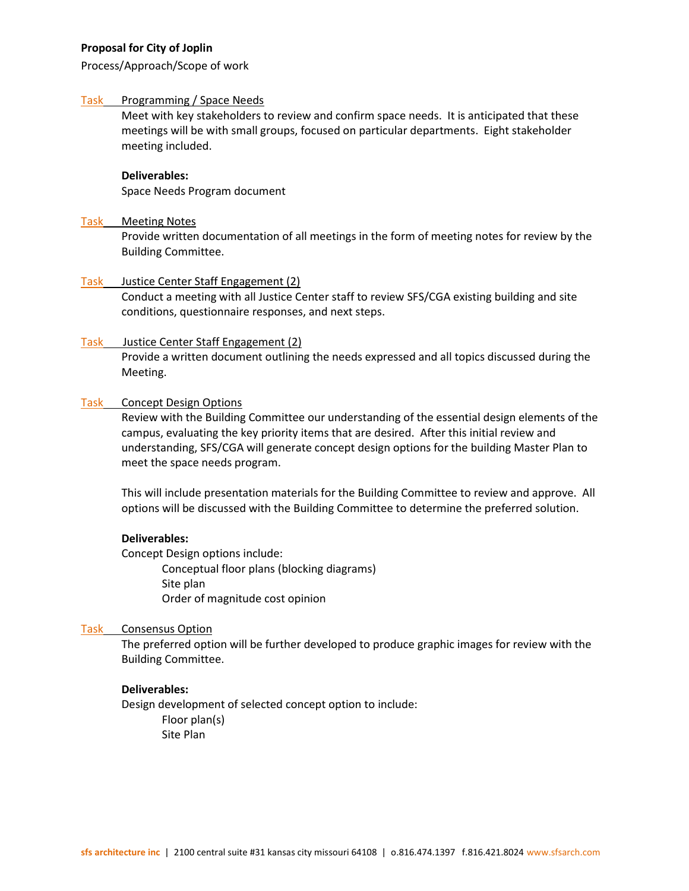Process/Approach/Scope of work

#### Task Programming / Space Needs

Meet with key stakeholders to review and confirm space needs. It is anticipated that these meetings will be with small groups, focused on particular departments. Eight stakeholder meeting included.

#### Deliverables:

Space Needs Program document

#### Task Meeting Notes

Provide written documentation of all meetings in the form of meeting notes for review by the Building Committee.

#### Task Justice Center Staff Engagement (2)

Conduct a meeting with all Justice Center staff to review SFS/CGA existing building and site conditions, questionnaire responses, and next steps.

#### Task Justice Center Staff Engagement (2)

Provide a written document outlining the needs expressed and all topics discussed during the Meeting.

#### Task Concept Design Options

Review with the Building Committee our understanding of the essential design elements of the campus, evaluating the key priority items that are desired. After this initial review and understanding, SFS/CGA will generate concept design options for the building Master Plan to meet the space needs program.

This will include presentation materials for the Building Committee to review and approve. All options will be discussed with the Building Committee to determine the preferred solution.

#### Deliverables:

Concept Design options include: Conceptual floor plans (blocking diagrams) Site plan Order of magnitude cost opinion

#### Task Consensus Option

The preferred option will be further developed to produce graphic images for review with the Building Committee.

#### Deliverables:

Design development of selected concept option to include: Floor plan(s) Site Plan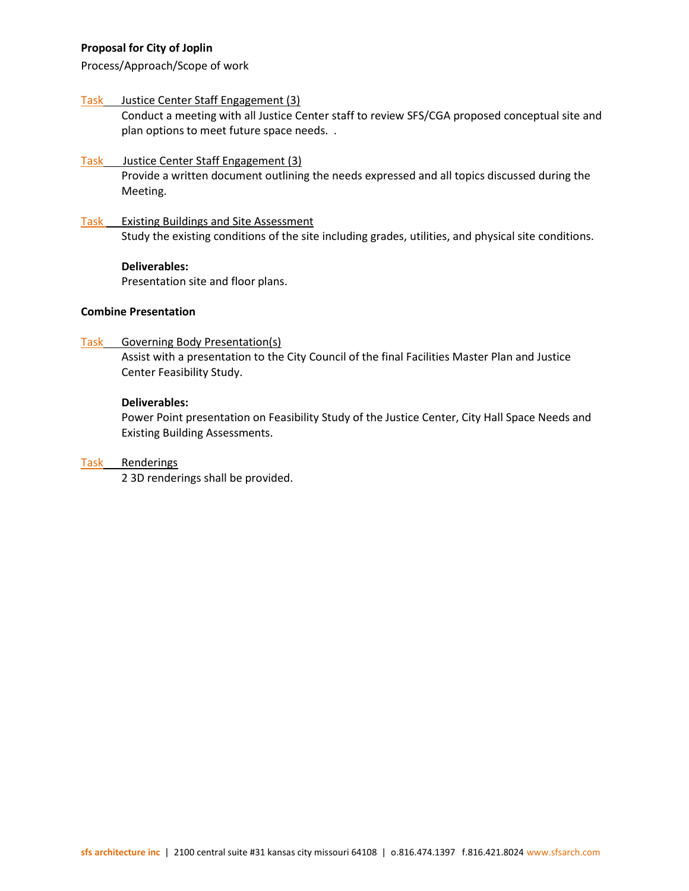Process/Approach/Scope of work

#### Task Justice Center Staff Engagement (3)

Conduct a meeting with all Justice Center staff to review SFS/CGA proposed conceptual site and plan options to meet future space needs. .

#### Task Justice Center Staff Engagement (3) Provide a written document outlining the needs expressed and all topics discussed during the Meeting.

Task Existing Buildings and Site Assessment Study the existing conditions of the site including grades, utilities, and physical site conditions.

#### Deliverables:

Presentation site and floor plans.

#### Combine Presentation

Task Governing Body Presentation(s)

Assist with a presentation to the City Council of the final Facilities Master Plan and Justice Center Feasibility Study.

#### Deliverables:

Power Point presentation on Feasibility Study of the Justice Center, City Hall Space Needs and Existing Building Assessments.

#### Task Renderings

2 3D renderings shall be provided.